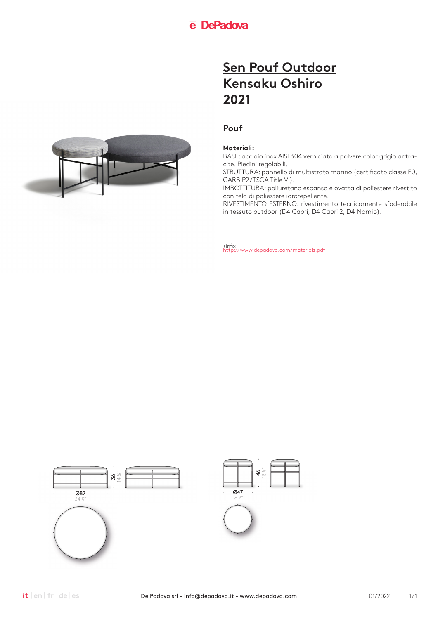## **Pouf**

### **Materiali:**

BASE: acciaio inox AISI 304 verniciato a polvere color grigio antracite. Piedini regolabili.

STRUTTURA: pannello di multistrato marino (certificato classe E0, CARB P2/TSCA Title VI).

IMBOTTITURA: poliuretano espanso e ovatta di poliestere rivestito con tela di poliestere idrorepellente.

RIVESTIMENTO ESTERNO: rivestimento tecnicamente sfoderabile in tessuto outdoor (D4 Capri, D4 Capri 2, D4 Namib).



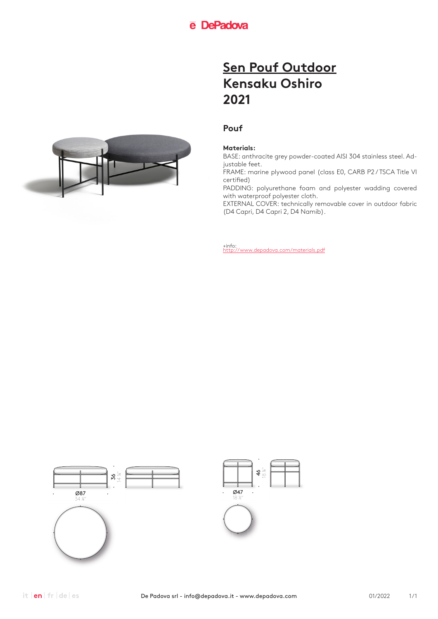## **Pouf**

### **Materials:**

BASE: anthracite grey powder-coated AISI 304 stainless steel. Adjustable feet.

FRAME: marine plywood panel (class E0, CARB P2 / TSCA Title VI certified)

PADDING: polyurethane foam and polyester wadding covered with waterproof polyester cloth.

EXTERNAL COVER: technically removable cover in outdoor fabric (D4 Capri, D4 Capri 2, D4 Namib).



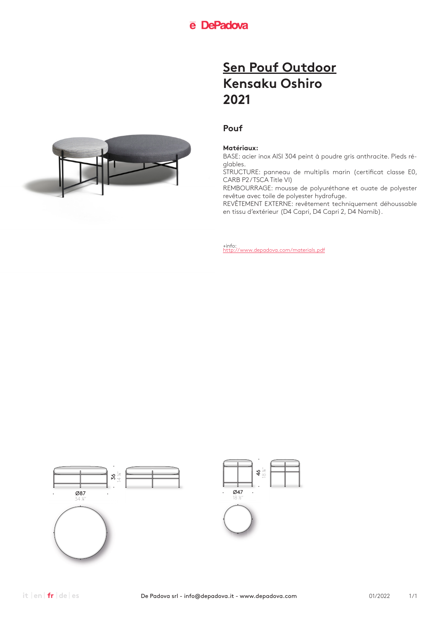## **Pouf**

### **Matériaux:**

BASE: acier inox AISI 304 peint à poudre gris anthracite. Pieds réglables.

STRUCTURE: panneau de multiplis marin (certificat classe E0, CARB P2/TSCA Title VI)

REMBOURRAGE: mousse de polyuréthane et ouate de polyester revêtue avec toile de polyester hydrofuge.

REVÊTEMENT EXTERNE: revêtement techniquement déhoussable en tissu d'extérieur (D4 Capri, D4 Capri 2, D4 Namib).



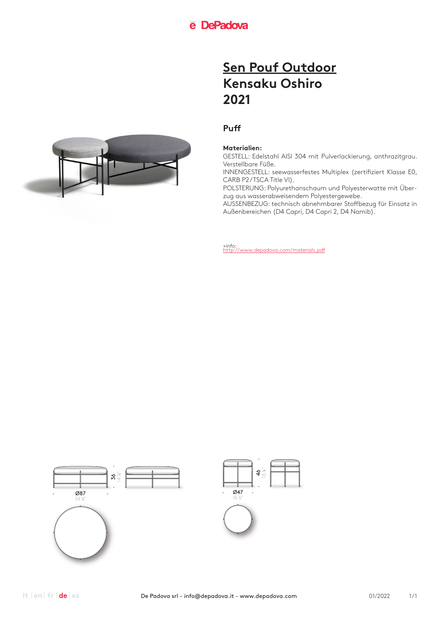## **Puff**

### **Materialien:**

GESTELL: Edelstahl AISI 304 mit Pulverlackierung, anthrazitgrau. Verstellbare Füße.

INNENGESTELL: seewasserfestes Multiplex (zertifiziert Klasse E0, CARB P2/TSCA Title VI).

POLSTERUNG: Polyurethanschaum und Polyesterwatte mit Überzug aus wasserabweisendem Polyestergewebe.

AUSSENBEZUG: technisch abnehmbarer Stoffbezug für Einsatz in Außenbereichen (D4 Capri, D4 Capri 2, D4 Namib).